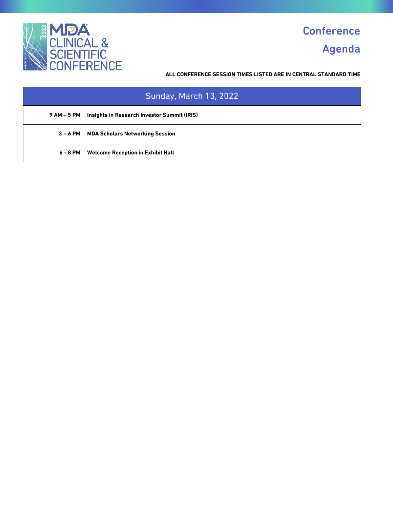

# **Conference** Agenda

| <b>Sunday, March 13, 2022</b> |                                                    |
|-------------------------------|----------------------------------------------------|
| 9 AM – 5 PM                   | <b>Insights in Research Investor Summit (IRIS)</b> |
| $3 - 6$ PM                    | <b>MDA Scholars Networking Session</b>             |
| 6 - 8 PM                      | <b>Welcome Reception in Exhibit Hall</b>           |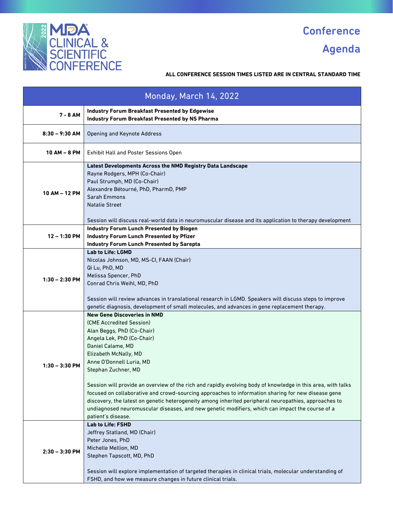

Agenda

| Monday, March 14, 2022 |                                                                                                                                                                                                                                                                                                                                                                                                                                                                                                                                                                                                                                                                                     |
|------------------------|-------------------------------------------------------------------------------------------------------------------------------------------------------------------------------------------------------------------------------------------------------------------------------------------------------------------------------------------------------------------------------------------------------------------------------------------------------------------------------------------------------------------------------------------------------------------------------------------------------------------------------------------------------------------------------------|
| 7 - 8 AM               | <b>Industry Forum Breakfast Presented by Edgewise</b><br>Industry Forum Breakfast Presented by NS Pharma                                                                                                                                                                                                                                                                                                                                                                                                                                                                                                                                                                            |
| $8:30 - 9:30$ AM       | <b>Opening and Keynote Address</b>                                                                                                                                                                                                                                                                                                                                                                                                                                                                                                                                                                                                                                                  |
| $10 AM - 8 PM$         | <b>Exhibit Hall and Poster Sessions Open</b>                                                                                                                                                                                                                                                                                                                                                                                                                                                                                                                                                                                                                                        |
| 10 AM - 12 PM          | <b>Latest Developments Across the NMD Registry Data Landscape</b><br>Rayne Rodgers, MPH (Co-Chair)<br>Paul Strumph, MD (Co-Chair)<br>Alexandre Bétourné, PhD, PharmD, PMP<br>Sarah Emmons<br><b>Natalie Street</b><br>Session will discuss real-world data in neuromuscular disease and its application to therapy development                                                                                                                                                                                                                                                                                                                                                      |
| $12 - 1:30$ PM         | <b>Industry Forum Lunch Presented by Biogen</b><br><b>Industry Forum Lunch Presented by Pfizer</b><br><b>Industry Forum Lunch Presented by Sarepta</b>                                                                                                                                                                                                                                                                                                                                                                                                                                                                                                                              |
| $1:30 - 2:30$ PM       | <b>Lab to Life: LGMD</b><br>Nicolas Johnson, MD, MS-CI, FAAN (Chair)<br>Qi Lu, PhD, MD<br>Melissa Spencer, PhD<br>Conrad Chris Weihl, MD, PhD<br>Session will review advances in translational research in LGMD. Speakers will discuss steps to improve<br>genetic diagnosis, development of small molecules, and advances in gene replacement therapy.                                                                                                                                                                                                                                                                                                                             |
| 1:30 - 3:30 PM         | <b>New Gene Discoveries in NMD</b><br>(CME Accredited Session)<br>Alan Beggs, PhD (Co-Chair)<br>Angela Lek, PhD (Co-Chair)<br>Daniel Calame, MD<br>Elizabeth McNally, MD<br>Anne O'Donnell Luria, MD<br>Stephan Zuchner, MD<br>Session will provide an overview of the rich and rapidly evolving body of knowledge in this area, with talks<br>focused on collaborative and crowd-sourcing approaches to information sharing for new disease gene<br>discovery, the latest on genetic heterogeneity among inherited peripheral neuropathies, approaches to<br>undiagnosed neuromuscular diseases, and new genetic modifiers, which can impact the course of a<br>patient's disease. |
| $2:30 - 3:30$ PM       | <b>Lab to Life: FSHD</b><br>Jeffrey Statland, MD (Chair)<br>Peter Jones, PhD<br>Michelle Mellion, MD<br>Stephen Tapscott, MD, PhD<br>Session will explore implementation of targeted therapies in clinical trials, molecular understanding of<br>FSHD, and how we measure changes in future clinical trials.                                                                                                                                                                                                                                                                                                                                                                        |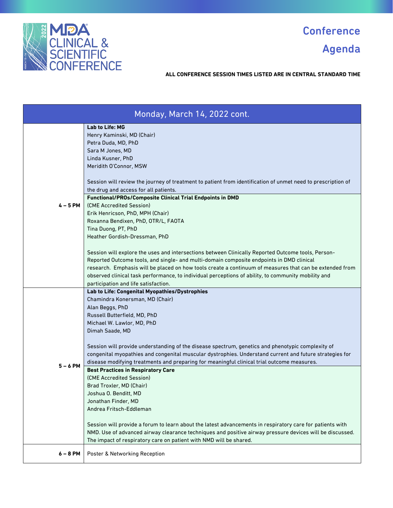

Agenda

| Monday, March 14, 2022 cont. |                                                                                                                                                                                                                                                                                                                                                                                                                                                                                                     |
|------------------------------|-----------------------------------------------------------------------------------------------------------------------------------------------------------------------------------------------------------------------------------------------------------------------------------------------------------------------------------------------------------------------------------------------------------------------------------------------------------------------------------------------------|
|                              | <b>Lab to Life: MG</b><br>Henry Kaminski, MD (Chair)<br>Petra Duda, MD, PhD<br>Sara M Jones, MD<br>Linda Kusner, PhD<br>Meridith O'Connor, MSW                                                                                                                                                                                                                                                                                                                                                      |
|                              | Session will review the journey of treatment to patient from identification of unmet need to prescription of<br>the drug and access for all patients.<br><b>Functional/PROs/Composite Clinical Trial Endpoints in DMD</b>                                                                                                                                                                                                                                                                           |
| 4 – 5 PM                     | (CME Accredited Session)<br>Erik Henricson, PhD, MPH (Chair)<br>Roxanna Bendixen, PhD, OTR/L, FAOTA<br>Tina Duong, PT, PhD<br>Heather Gordish-Dressman, PhD                                                                                                                                                                                                                                                                                                                                         |
|                              | Session will explore the uses and intersections between Clinically Reported Outcome tools, Person-<br>Reported Outcome tools, and single- and multi-domain composite endpoints in DMD clinical<br>research. Emphasis will be placed on how tools create a continuum of measures that can be extended from<br>observed clinical task performance, to individual perceptions of ability, to community mobility and<br>participation and life satisfaction.                                            |
| $5 - 6$ PM                   | Lab to Life: Congenital Myopathies/Dystrophies<br>Chamindra Konersman, MD (Chair)<br>Alan Beggs, PhD<br>Russell Butterfield, MD, PhD<br>Michael W. Lawlor, MD, PhD<br>Dimah Saade, MD<br>Session will provide understanding of the disease spectrum, genetics and phenotypic complexity of<br>congenital myopathies and congenital muscular dystrophies. Understand current and future strategies for<br>disease modifying treatments and preparing for meaningful clinical trial outcome measures. |
|                              | <b>Best Practices in Respiratory Care</b><br>(CME Accredited Session)<br>Brad Troxler, MD (Chair)<br>Joshua O. Benditt, MD<br>Jonathan Finder, MD<br>Andrea Fritsch-Eddleman<br>Session will provide a forum to learn about the latest advancements in respiratory care for patients with<br>NMD. Use of advanced airway clearance techniques and positive airway pressure devices will be discussed.<br>The impact of respiratory care on patient with NMD will be shared.                         |
| $6 - 8$ PM                   | Poster & Networking Reception                                                                                                                                                                                                                                                                                                                                                                                                                                                                       |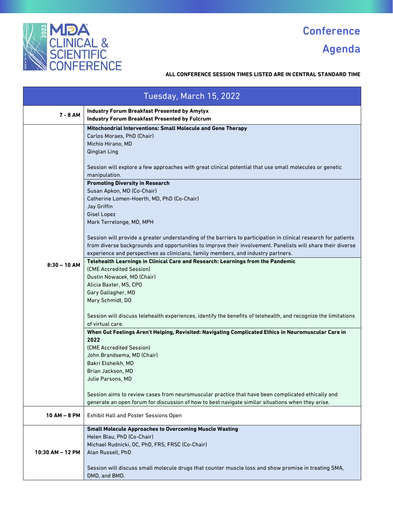

Agenda

|                  | Tuesday, March 15, 2022                                                                                                                                                                                                                                                                                                                                                                                                                                                                                                                                                                                                                                                                                                                                                                                                                                                                                                                                                                                                                                                                                                                                                                                                                                                                                                                                                                                                                                                                                                                                                       |
|------------------|-------------------------------------------------------------------------------------------------------------------------------------------------------------------------------------------------------------------------------------------------------------------------------------------------------------------------------------------------------------------------------------------------------------------------------------------------------------------------------------------------------------------------------------------------------------------------------------------------------------------------------------------------------------------------------------------------------------------------------------------------------------------------------------------------------------------------------------------------------------------------------------------------------------------------------------------------------------------------------------------------------------------------------------------------------------------------------------------------------------------------------------------------------------------------------------------------------------------------------------------------------------------------------------------------------------------------------------------------------------------------------------------------------------------------------------------------------------------------------------------------------------------------------------------------------------------------------|
| 7 - 8 AM         | <b>Industry Forum Breakfast Presented by Amylyx</b><br><b>Industry Forum Breakfast Presented by Fulcrum</b>                                                                                                                                                                                                                                                                                                                                                                                                                                                                                                                                                                                                                                                                                                                                                                                                                                                                                                                                                                                                                                                                                                                                                                                                                                                                                                                                                                                                                                                                   |
| $8:30 - 10$ AM   | Mitochondrial Interventions: Small Molecule and Gene Therapy<br>Carlos Moraes, PhD (Chair)<br>Michio Hirano, MD<br>Qinglan Ling<br>Session will explore a few approaches with great clinical potential that use small molecules or genetic<br>manipulation.<br><b>Promoting Diversity in Research</b><br>Susan Apkon, MD (Co-Chair)<br>Catherine Lomen-Hoerth, MD, PhD (Co-Chair)<br>Jay Griffin<br>Gisel Lopez<br>Mark Terrelonge, MD, MPH<br>Session will provide a greater understanding of the barriers to participation in clinical research for patients<br>from diverse backgrounds and opportunities to improve their involvement. Panelists will share their diverse<br>experience and perspectives as clinicians, family members, and industry partners.<br>Telehealth Learnings in Clinical Care and Research: Learnings from the Pandemic<br>(CME Accredited Session)<br>Dustin Nowacek, MD (Chair)<br>Alicia Baxter, MS, CPO<br>Gary Gallagher, MD<br>Mary Schmidt, DO<br>Session will discuss telehealth experiences, identify the benefits of telehealth, and recognize the limitations<br>of virtual care.<br>When Gut Feelings Aren't Helping, Revisited: Navigating Complicated Ethics in Neuromuscular Care in<br>2022<br>(CME Accredited Session)<br>John Brandsema, MD (Chair)<br>Bakri Elsheikh, MD<br>Brian Jackson, MD<br>Julie Parsons, MD<br>Session aims to review cases from neuromuscular practice that have been complicated ethically and<br>generate an open forum for discussion of how to best navigate similar situations when they arise. |
| $10 AM - 8 PM$   | <b>Exhibit Hall and Poster Sessions Open</b>                                                                                                                                                                                                                                                                                                                                                                                                                                                                                                                                                                                                                                                                                                                                                                                                                                                                                                                                                                                                                                                                                                                                                                                                                                                                                                                                                                                                                                                                                                                                  |
| 10:30 AM - 12 PM | <b>Small Molecule Approaches to Overcoming Muscle Wasting</b><br>Helen Blau, PhD (Co-Chair)<br>Michael Rudnicki, OC, PhD, FRS, FRSC (Co-Chair)<br>Alan Russell, PhD<br>Session will discuss small molecule drugs that counter muscle loss and show promise in treating SMA,<br>DMD, and BMD.                                                                                                                                                                                                                                                                                                                                                                                                                                                                                                                                                                                                                                                                                                                                                                                                                                                                                                                                                                                                                                                                                                                                                                                                                                                                                  |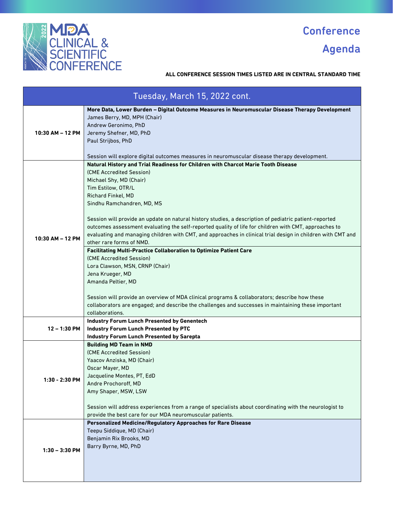

Agenda

| Tuesday, March 15, 2022 cont. |                                                                                                                                                                                                                                                                                                                                                                                                                                                                                                                                                                                  |
|-------------------------------|----------------------------------------------------------------------------------------------------------------------------------------------------------------------------------------------------------------------------------------------------------------------------------------------------------------------------------------------------------------------------------------------------------------------------------------------------------------------------------------------------------------------------------------------------------------------------------|
| 10:30 AM - 12 PM              | More Data, Lower Burden - Digital Outcome Measures in Neuromuscular Disease Therapy Development<br>James Berry, MD, MPH (Chair)<br>Andrew Geronimo, PhD<br>Jeremy Shefner, MD, PhD<br>Paul Strijbos, PhD<br>Session will explore digital outcomes measures in neuromuscular disease therapy development.                                                                                                                                                                                                                                                                         |
| 10:30 AM - 12 PM              | Natural History and Trial Readiness for Children with Charcot Marie Tooth Disease<br>(CME Accredited Session)<br>Michael Shy, MD (Chair)<br>Tim Estilow, OTR/L<br>Richard Finkel, MD<br>Sindhu Ramchandren, MD, MS<br>Session will provide an update on natural history studies, a description of pediatric patient-reported<br>outcomes assessment evaluating the self-reported quality of life for children with CMT, approaches to<br>evaluating and managing children with CMT, and approaches in clinical trial design in children with CMT and<br>other rare forms of NMD. |
|                               | <b>Facilitating Multi-Practice Collaboration to Optimize Patient Care</b><br>(CME Accredited Session)<br>Lora Clawson, MSN, CRNP (Chair)<br>Jena Krueger, MD<br>Amanda Peltier, MD<br>Session will provide an overview of MDA clinical programs & collaborators; describe how these<br>collaborators are engaged; and describe the challenges and successes in maintaining these important<br>collaborations.                                                                                                                                                                    |
| 12 – 1:30 PM                  | <b>Industry Forum Lunch Presented by Genentech</b><br><b>Industry Forum Lunch Presented by PTC</b><br><b>Industry Forum Lunch Presented by Sarepta</b>                                                                                                                                                                                                                                                                                                                                                                                                                           |
| 1:30 - 2:30 PM                | <b>Building MD Team in NMD</b><br>(CME Accredited Session)<br>Yaacov Anziska, MD (Chair)<br>Oscar Mayer, MD<br>Jacqueline Montes, PT, EdD<br>Andre Prochoroff, MD<br>Amy Shaper, MSW, LSW<br>Session will address experiences from a range of specialists about coordinating with the neurologist to<br>provide the best care for our MDA neuromuscular patients.                                                                                                                                                                                                                |
| $1:30 - 3:30$ PM              | Personalized Medicine/Regulatory Approaches for Rare Disease<br>Teepu Siddique, MD (Chair)<br>Benjamin Rix Brooks, MD<br>Barry Byrne, MD, PhD                                                                                                                                                                                                                                                                                                                                                                                                                                    |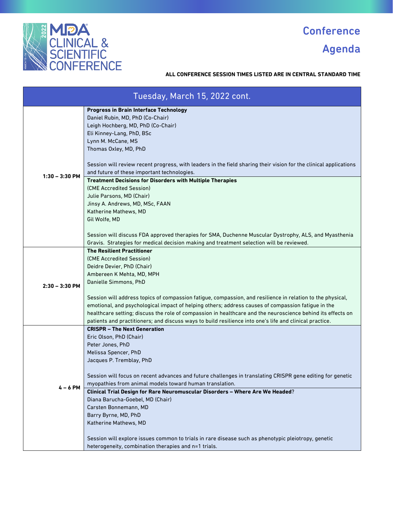

### Agenda

| Tuesday, March 15, 2022 cont. |                                                                                                                   |
|-------------------------------|-------------------------------------------------------------------------------------------------------------------|
|                               | <b>Progress in Brain Interface Technology</b>                                                                     |
|                               | Daniel Rubin, MD, PhD (Co-Chair)                                                                                  |
|                               | Leigh Hochberg, MD, PhD (Co-Chair)                                                                                |
|                               | Eli Kinney-Lang, PhD, BSc<br>Lynn M. McCane, MS                                                                   |
|                               | Thomas Oxley, MD, PhD                                                                                             |
|                               |                                                                                                                   |
|                               | Session will review recent progress, with leaders in the field sharing their vision for the clinical applications |
|                               | and future of these important technologies.                                                                       |
| $1:30 - 3:30$ PM              | <b>Treatment Decisions for Disorders with Multiple Therapies</b>                                                  |
|                               | (CME Accredited Session)                                                                                          |
|                               | Julie Parsons, MD (Chair)                                                                                         |
|                               | Jinsy A. Andrews, MD, MSc, FAAN                                                                                   |
|                               | Katherine Mathews, MD                                                                                             |
|                               | Gil Wolfe, MD                                                                                                     |
|                               |                                                                                                                   |
|                               | Session will discuss FDA approved therapies for SMA, Duchenne Muscular Dystrophy, ALS, and Myasthenia             |
|                               | Gravis. Strategies for medical decision making and treatment selection will be reviewed.                          |
|                               | <b>The Resilient Practitioner</b>                                                                                 |
|                               | (CME Accredited Session)                                                                                          |
|                               | Deidre Devier, PhD (Chair)                                                                                        |
|                               | Ambereen K Mehta, MD, MPH                                                                                         |
| $2:30 - 3:30$ PM              | Danielle Simmons, PhD                                                                                             |
|                               | Session will address topics of compassion fatigue, compassion, and resilience in relation to the physical,        |
|                               | emotional, and psychological impact of helping others; address causes of compassion fatigue in the                |
|                               | healthcare setting; discuss the role of compassion in healthcare and the neuroscience behind its effects on       |
|                               | patients and practitioners; and discuss ways to build resilience into one's life and clinical practice.           |
|                               | <b>CRISPR - The Next Generation</b>                                                                               |
|                               | Eric Olson, PhD (Chair)                                                                                           |
|                               | Peter Jones, PhD                                                                                                  |
|                               | Melissa Spencer, PhD                                                                                              |
|                               | Jacques P. Tremblay, PhD                                                                                          |
|                               |                                                                                                                   |
|                               | Session will focus on recent advances and future challenges in translating CRISPR gene editing for genetic        |
| $4 - 6$ PM                    | myopathies from animal models toward human translation.                                                           |
|                               | Clinical Trial Design for Rare Neuromuscular Disorders - Where Are We Headed?<br>Diana Barucha-Goebel, MD (Chair) |
|                               | Carsten Bonnemann, MD                                                                                             |
|                               | Barry Byrne, MD, PhD                                                                                              |
|                               | Katherine Mathews, MD                                                                                             |
|                               |                                                                                                                   |
|                               | Session will explore issues common to trials in rare disease such as phenotypic pleiotropy, genetic               |
|                               | heterogeneity, combination therapies and n=1 trials.                                                              |
|                               |                                                                                                                   |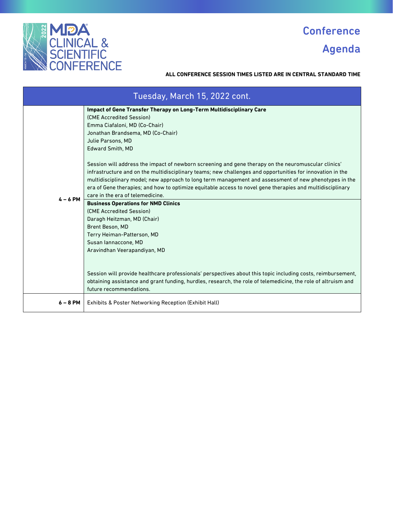

### Agenda

| Tuesday, March 15, 2022 cont. |                                                                                                                                                                                                                                                                                                                                                                                                                                                                                                                                                                                                                                                                                                                                                                                                                                                                                                                                                                                                                                                                                                                                                        |
|-------------------------------|--------------------------------------------------------------------------------------------------------------------------------------------------------------------------------------------------------------------------------------------------------------------------------------------------------------------------------------------------------------------------------------------------------------------------------------------------------------------------------------------------------------------------------------------------------------------------------------------------------------------------------------------------------------------------------------------------------------------------------------------------------------------------------------------------------------------------------------------------------------------------------------------------------------------------------------------------------------------------------------------------------------------------------------------------------------------------------------------------------------------------------------------------------|
| $4 - 6$ PM                    | <b>Impact of Gene Transfer Therapy on Long-Term Multidisciplinary Care</b><br>(CME Accredited Session)<br>Emma Ciafaloni, MD (Co-Chair)<br>Jonathan Brandsema, MD (Co-Chair)<br>Julie Parsons, MD<br>Edward Smith, MD<br>'Session will address the impact of newborn screening and gene therapy on the neuromuscular clinics<br>infrastructure and on the multidisciplinary teams; new challenges and opportunities for innovation in the<br>multidisciplinary model; new approach to long term management and assessment of new phenotypes in the<br>era of Gene therapies; and how to optimize equitable access to novel gene therapies and multidisciplinary<br>care in the era of telemedicine.<br><b>Business Operations for NMD Clinics</b><br>(CME Accredited Session)<br>Daragh Heitzman, MD (Chair)<br>Brent Beson, MD<br>Terry Heiman-Patterson, MD<br>Susan lannaccone, MD<br>Aravindhan Veerapandiyan, MD<br>Session will provide healthcare professionals' perspectives about this topic including costs, reimbursement,<br>obtaining assistance and grant funding, hurdles, research, the role of telemedicine, the role of altruism and |
| 6 – 8 PM                      | future recommendations.<br>Exhibits & Poster Networking Reception (Exhibit Hall)                                                                                                                                                                                                                                                                                                                                                                                                                                                                                                                                                                                                                                                                                                                                                                                                                                                                                                                                                                                                                                                                       |